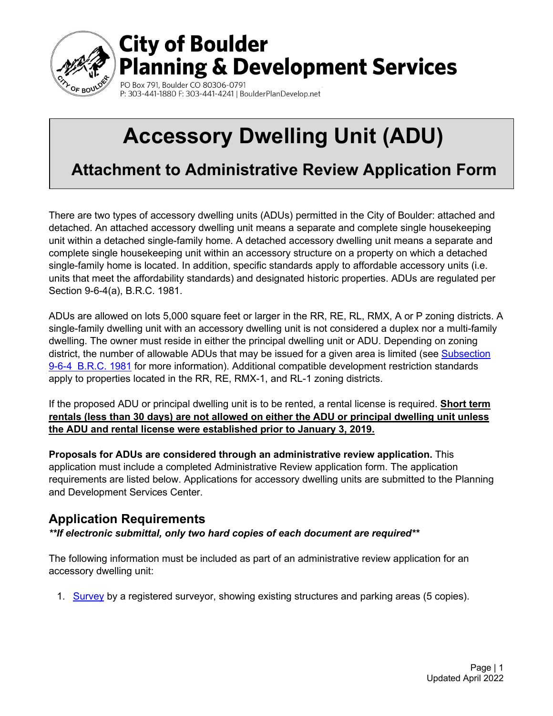

# **City of Boulder Planning & Development Services**

PO Box 791, Boulder CO 80306-0791 P: 303-441-1880 F: 303-441-4241 | BoulderPlanDevelop.net

# **Accessory Dwelling Unit (ADU)**

**Attachment to Administrative Review Application Form**

There are two types of accessory dwelling units (ADUs) permitted in the City of Boulder: attached and detached. An attached accessory dwelling unit means a separate and complete single housekeeping unit within a detached single-family home. A detached accessory dwelling unit means a separate and complete single housekeeping unit within an accessory structure on a property on which a detached single-family home is located. In addition, specific standards apply to affordable accessory units (i.e. units that meet the affordability standards) and designated historic properties. ADUs are regulated per Section 9-6-4(a), B.R.C. 1981.

ADUs are allowed on lots 5,000 square feet or larger in the RR, RE, RL, RMX, A or P zoning districts. A single-family dwelling unit with an accessory dwelling unit is not considered a duplex nor a multi-family dwelling. The owner must reside in either the principal dwelling unit or ADU. Depending on zoning district, the number of allowable ADUs that may be issued for a given area is limited (see Subsection [9-6-4 B.R.C. 1981](https://library.municode.com/co/boulder/codes/municipal_code?nodeId=TIT9LAUSCO_CH6USST_9-6-3SPUSSTESUS) for more information). Additional compatible development restriction standards apply to properties located in the RR, RE, RMX-1, and RL-1 zoning districts.

If the proposed ADU or principal dwelling unit is to be rented, a rental license is required. **Short term rentals (less than 30 days) are not allowed on either the ADU or principal dwelling unit unless the ADU and rental license were established prior to January 3, 2019.** 

**Proposals for ADUs are considered through an administrative review application.** This application must include a completed Administrative Review application form. The application requirements are listed below. Applications for accessory dwelling units are submitted to the Planning and Development Services Center.

## **Application Requirements**

*\*\*If electronic submittal, only two hard copies of each document are required\*\**

The following information must be included as part of an administrative review application for an accessory dwelling unit:

1. [Survey](https://www-static.bouldercolorado.gov/docs/PDS/forms/825.pdf) by a registered surveyor, showing existing structures and parking areas (5 copies).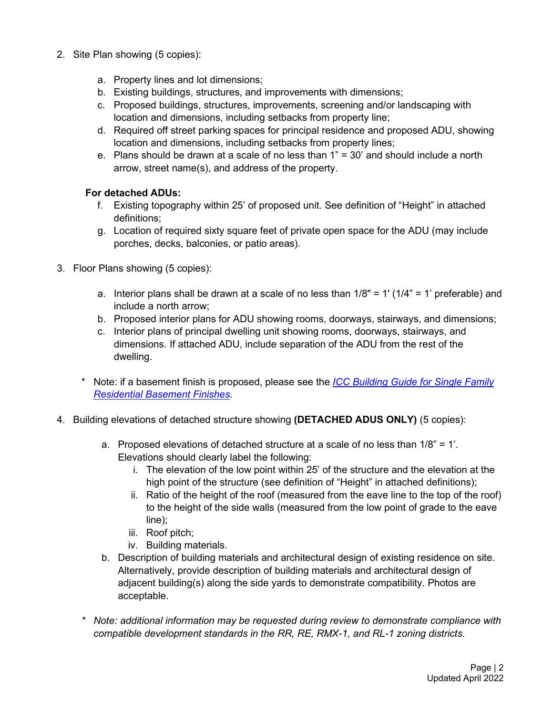- 2. Site Plan showing (5 copies):
	- a. Property lines and lot dimensions;
	- b. Existing buildings, structures, and improvements with dimensions;
	- c. Proposed buildings, structures, improvements, screening and/or landscaping with location and dimensions, including setbacks from property line;
	- d. Required off street parking spaces for principal residence and proposed ADU, showing location and dimensions, including setbacks from property lines;
	- e. Plans should be drawn at a scale of no less than 1" = 30' and should include a north arrow, street name(s), and address of the property.

#### **For detached ADUs:**

- f. Existing topography within 25' of proposed unit. See definition of "Height" in attached definitions;
- g. Location of required sixty square feet of private open space for the ADU (may include porches, decks, balconies, or patio areas).
- 3. Floor Plans showing (5 copies):
	- a. Interior plans shall be drawn at a scale of no less than  $1/8" = 1' (1/4" = 1'$  preferable) and include a north arrow;
	- b. Proposed interior plans for ADU showing rooms, doorways, stairways, and dimensions;
	- c. Interior plans of principal dwelling unit showing rooms, doorways, stairways, and dimensions. If attached ADU, include separation of the ADU from the rest of the dwelling.
	- \* Note: if a basement finish is proposed, please see the *[ICC Building Guide for Single Family](https://www-static.bouldercolorado.gov/docs/PDS/forms/805_Basement_Guide.pdf) [Residential Basement Finishes.](https://www-static.bouldercolorado.gov/docs/PDS/forms/805_Basement_Guide.pdf)*
- 4. Building elevations of detached structure showing **(DETACHED ADUS ONLY)** (5 copies):
	- a. Proposed elevations of detached structure at a scale of no less than 1/8" = 1'. Elevations should clearly label the following:
		- i. The elevation of the low point within 25' of the structure and the elevation at the high point of the structure (see definition of "Height" in attached definitions);
		- ii. Ratio of the height of the roof (measured from the eave line to the top of the roof) to the height of the side walls (measured from the low point of grade to the eave line);
		- iii. Roof pitch;
		- iv. Building materials.
	- b. Description of building materials and architectural design of existing residence on site. Alternatively, provide description of building materials and architectural design of adjacent building(s) along the side yards to demonstrate compatibility. Photos are acceptable.
	- *\* Note: additional information may be requested during review to demonstrate compliance with compatible development standards in the RR, RE, RMX-1, and RL-1 zoning districts.*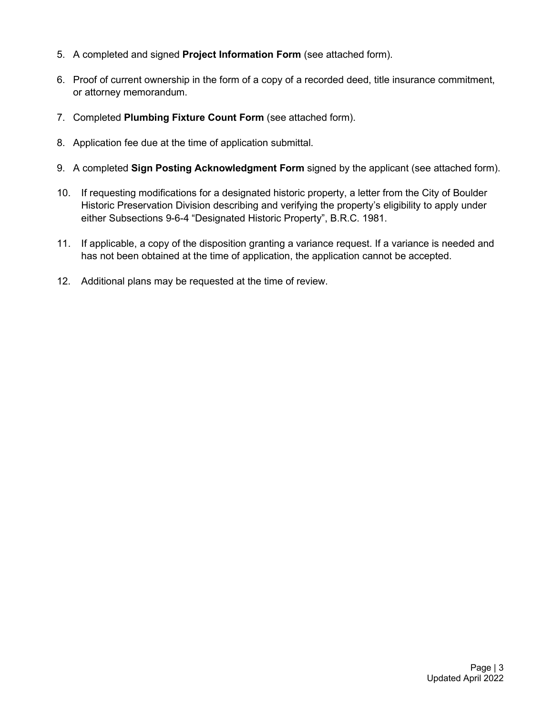- 5. A completed and signed **Project Information Form** (see attached form).
- 6. Proof of current ownership in the form of a copy of a recorded deed, title insurance commitment, or attorney memorandum.
- 7. Completed **Plumbing Fixture Count Form** (see attached form).
- 8. Application fee due at the time of application submittal.
- 9. A completed **Sign Posting Acknowledgment Form** signed by the applicant (see attached form).
- 10. If requesting modifications for a designated historic property, a letter from the City of Boulder Historic Preservation Division describing and verifying the property's eligibility to apply under either Subsections 9-6-4 "Designated Historic Property", B.R.C. 1981.
- 11. If applicable, a copy of the disposition granting a variance request. If a variance is needed and has not been obtained at the time of application, the application cannot be accepted.
- 12. Additional plans may be requested at the time of review.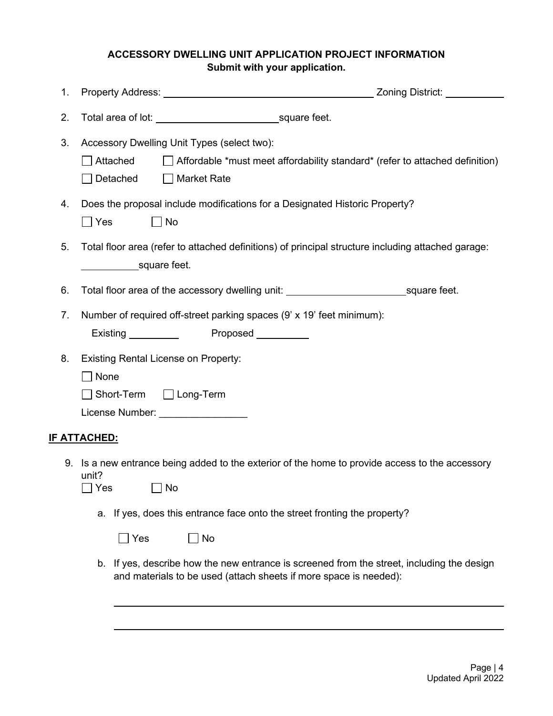#### **ACCESSORY DWELLING UNIT APPLICATION PROJECT INFORMATION Submit with your application.**

| 1. |                                                                                                                                                                               |  |  |  |  |  |  |  |
|----|-------------------------------------------------------------------------------------------------------------------------------------------------------------------------------|--|--|--|--|--|--|--|
| 2. |                                                                                                                                                                               |  |  |  |  |  |  |  |
| 3. | Accessory Dwelling Unit Types (select two):<br>$\Box$ Attached<br>$\Box$ Affordable *must meet affordability standard* (refer to attached definition)<br>Detached Market Rate |  |  |  |  |  |  |  |
| 4. | Does the proposal include modifications for a Designated Historic Property?<br>$\Box$ No<br>$\Box$ Yes                                                                        |  |  |  |  |  |  |  |
| 5. | Total floor area (refer to attached definitions) of principal structure including attached garage:<br>square feet.                                                            |  |  |  |  |  |  |  |
| 6. | Total floor area of the accessory dwelling unit: _________________________________square feet.                                                                                |  |  |  |  |  |  |  |
| 7. | Number of required off-street parking spaces (9' x 19' feet minimum):<br>Existing Proposed Containing Proposed                                                                |  |  |  |  |  |  |  |
| 8. | <b>Existing Rental License on Property:</b><br>$\Box$ None<br>□ Short-Term □ Long-Term<br>License Number: _________________                                                   |  |  |  |  |  |  |  |
|    | <u>IF ATTACHED:</u>                                                                                                                                                           |  |  |  |  |  |  |  |
|    | 9. Is a new entrance being added to the exterior of the home to provide access to the accessory<br>unit?<br>No<br>Yes                                                         |  |  |  |  |  |  |  |
|    | If yes, does this entrance face onto the street fronting the property?<br>а.                                                                                                  |  |  |  |  |  |  |  |
|    | Yes<br>No                                                                                                                                                                     |  |  |  |  |  |  |  |
|    | b. If yes, describe how the new entrance is screened from the street, including the design<br>and materials to be used (attach sheets if more space is needed):               |  |  |  |  |  |  |  |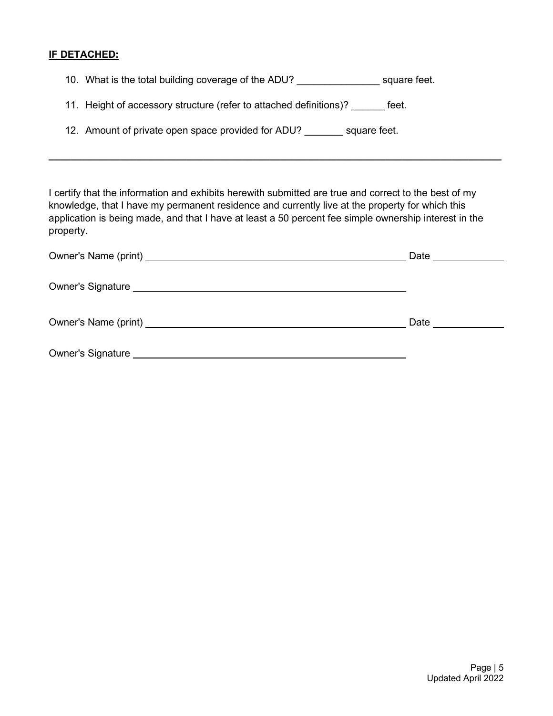#### **IF DETACHED:**

10. What is the total building coverage of the ADU? Square feet.

11. Height of accessory structure (refer to attached definitions)? Feet.

12. Amount of private open space provided for ADU? square feet.

I certify that the information and exhibits herewith submitted are true and correct to the best of my knowledge, that I have my permanent residence and currently live at the property for which this application is being made, and that I have at least a 50 percent fee simple ownership interest in the property.

**\_\_\_\_\_\_\_\_\_\_\_\_\_\_\_\_\_\_\_\_\_\_\_\_\_\_\_\_\_\_\_\_\_\_\_\_\_\_\_\_\_\_\_\_\_\_\_\_\_\_\_\_\_\_\_\_\_\_\_\_\_\_\_\_\_\_\_\_\_\_\_\_\_\_\_\_\_\_\_\_\_\_**

|                                                                                                                                                                                                                                     | Date __________ |
|-------------------------------------------------------------------------------------------------------------------------------------------------------------------------------------------------------------------------------------|-----------------|
| Owner's Signature <u>experience</u> and the series of the series of the series of the series of the series of the series of the series of the series of the series of the series of the series of the series of the series of the s |                 |
|                                                                                                                                                                                                                                     | Date            |
|                                                                                                                                                                                                                                     |                 |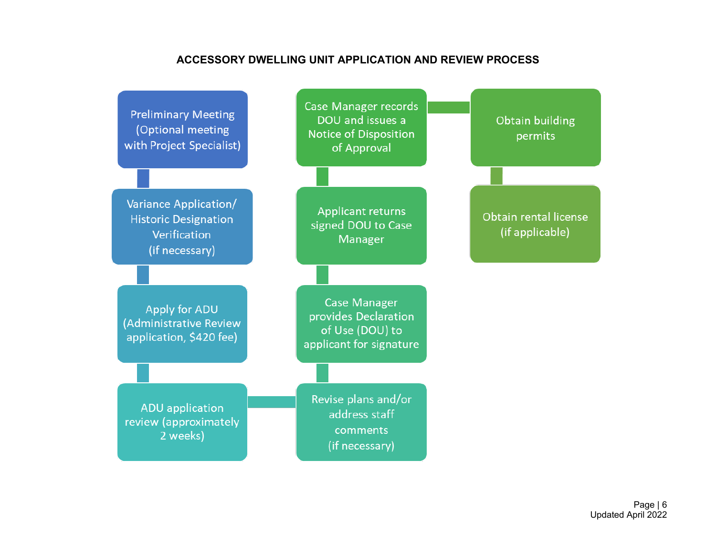#### **ACCESSORY DWELLING UNIT APPLICATION AND REVIEW PROCESS**



Page | 6 Updated April 2022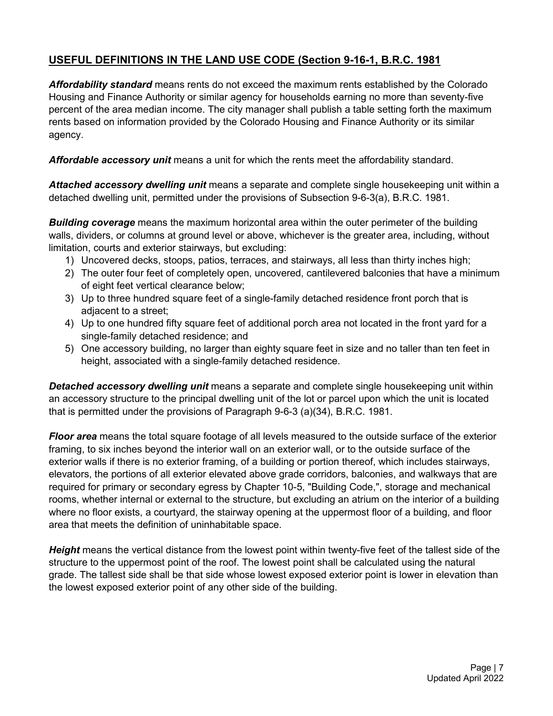#### **USEFUL DEFINITIONS IN THE LAND USE CODE (Section 9-16-1, B.R.C. 1981**

*Affordability standard* means rents do not exceed the maximum rents established by the Colorado Housing and Finance Authority or similar agency for households earning no more than seventy-five percent of the area median income. The city manager shall publish a table setting forth the maximum rents based on information provided by the Colorado Housing and Finance Authority or its similar agency.

*Affordable accessory unit* means a unit for which the rents meet the affordability standard.

*Attached accessory dwelling unit* means a separate and complete single housekeeping unit within a detached dwelling unit, permitted under the provisions of Subsection 9-6-3(a), B.R.C. 1981.

*Building coverage* means the maximum horizontal area within the outer perimeter of the building walls, dividers, or columns at ground level or above, whichever is the greater area, including, without limitation, courts and exterior stairways, but excluding:

- 1) Uncovered decks, stoops, patios, terraces, and stairways, all less than thirty inches high;
- 2) The outer four feet of completely open, uncovered, cantilevered balconies that have a minimum of eight feet vertical clearance below;
- 3) Up to three hundred square feet of a single-family detached residence front porch that is adjacent to a street;
- 4) Up to one hundred fifty square feet of additional porch area not located in the front yard for a single-family detached residence; and
- 5) One accessory building, no larger than eighty square feet in size and no taller than ten feet in height, associated with a single-family detached residence.

*Detached accessory dwelling unit* means a separate and complete single housekeeping unit within an accessory structure to the principal dwelling unit of the lot or parcel upon which the unit is located that is permitted under the provisions of Paragraph 9-6-3 (a)(34), B.R.C. 1981.

*Floor area* means the total square footage of all levels measured to the outside surface of the exterior framing, to six inches beyond the interior wall on an exterior wall, or to the outside surface of the exterior walls if there is no exterior framing, of a building or portion thereof, which includes stairways, elevators, the portions of all exterior elevated above grade corridors, balconies, and walkways that are required for primary or secondary egress by Chapter 10-5, "Building Code,", storage and mechanical rooms, whether internal or external to the structure, but excluding an atrium on the interior of a building where no floor exists, a courtyard, the stairway opening at the uppermost floor of a building, and floor area that meets the definition of uninhabitable space.

*Height* means the vertical distance from the lowest point within twenty-five feet of the tallest side of the structure to the uppermost point of the roof. The lowest point shall be calculated using the natural grade. The tallest side shall be that side whose lowest exposed exterior point is lower in elevation than the lowest exposed exterior point of any other side of the building.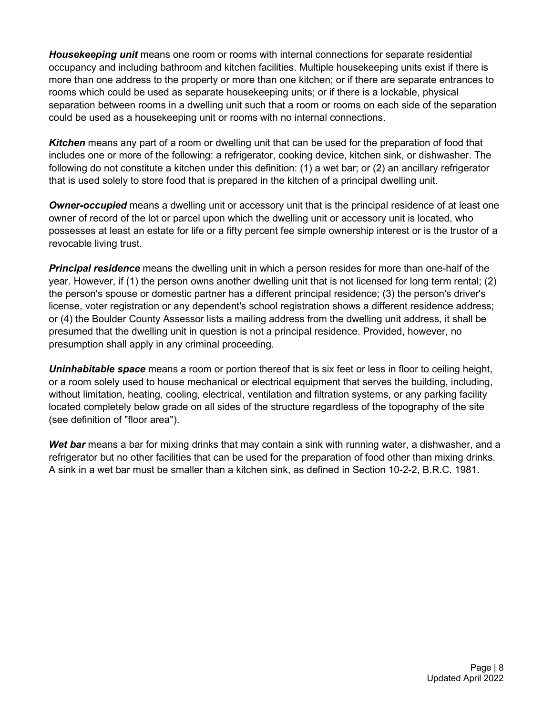*Housekeeping unit* means one room or rooms with internal connections for separate residential occupancy and including bathroom and kitchen facilities. Multiple housekeeping units exist if there is more than one address to the property or more than one kitchen; or if there are separate entrances to rooms which could be used as separate housekeeping units; or if there is a lockable, physical separation between rooms in a dwelling unit such that a room or rooms on each side of the separation could be used as a housekeeping unit or rooms with no internal connections.

*Kitchen* means any part of a room or dwelling unit that can be used for the preparation of food that includes one or more of the following: a refrigerator, cooking device, kitchen sink, or dishwasher. The following do not constitute a kitchen under this definition: (1) a wet bar; or (2) an ancillary refrigerator that is used solely to store food that is prepared in the kitchen of a principal dwelling unit.

*Owner-occupied* means a dwelling unit or accessory unit that is the principal residence of at least one owner of record of the lot or parcel upon which the dwelling unit or accessory unit is located, who possesses at least an estate for life or a fifty percent fee simple ownership interest or is the trustor of a revocable living trust.

*Principal residence* means the dwelling unit in which a person resides for more than one-half of the year. However, if (1) the person owns another dwelling unit that is not licensed for long term rental; (2) the person's spouse or domestic partner has a different principal residence; (3) the person's driver's license, voter registration or any dependent's school registration shows a different residence address; or (4) the Boulder County Assessor lists a mailing address from the dwelling unit address, it shall be presumed that the dwelling unit in question is not a principal residence. Provided, however, no presumption shall apply in any criminal proceeding.

*Uninhabitable space* means a room or portion thereof that is six feet or less in floor to ceiling height, or a room solely used to house mechanical or electrical equipment that serves the building, including, without limitation, heating, cooling, electrical, ventilation and filtration systems, or any parking facility located completely below grade on all sides of the structure regardless of the topography of the site (see definition of "floor area").

*Wet bar* means a bar for mixing drinks that may contain a sink with running water, a dishwasher, and a refrigerator but no other facilities that can be used for the preparation of food other than mixing drinks. A sink in a wet bar must be smaller than a kitchen sink, as defined in Section 10-2-2, B.R.C. 1981.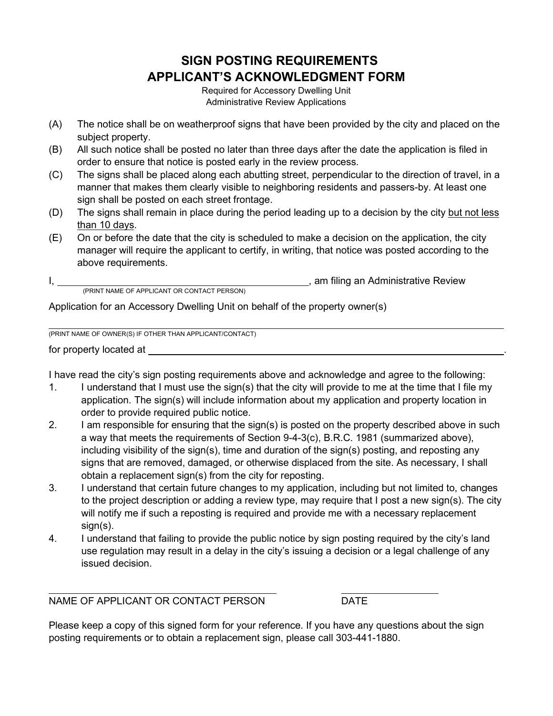### **SIGN POSTING REQUIREMENTS APPLICANT'S ACKNOWLEDGMENT FORM**

Required for Accessory Dwelling Unit Administrative Review Applications

- (A) The notice shall be on weatherproof signs that have been provided by the city and placed on the subject property.
- (B) All such notice shall be posted no later than three days after the date the application is filed in order to ensure that notice is posted early in the review process.
- (C) The signs shall be placed along each abutting street, perpendicular to the direction of travel, in a manner that makes them clearly visible to neighboring residents and passers-by. At least one sign shall be posted on each street frontage.
- (D) The signs shall remain in place during the period leading up to a decision by the city but not less than 10 days.
- (E) On or before the date that the city is scheduled to make a decision on the application, the city manager will require the applicant to certify, in writing, that notice was posted according to the above requirements.

|                                             | am filing an Administrative Review |
|---------------------------------------------|------------------------------------|
| (PRINT NAME OF APPLICANT OR CONTACT PERSON) |                                    |

Application for an Accessory Dwelling Unit on behalf of the property owner(s)

(PRINT NAME OF OWNER(S) IF OTHER THAN APPLICANT/CONTACT)

for property located at

I have read the city's sign posting requirements above and acknowledge and agree to the following:

- 1. I understand that I must use the sign(s) that the city will provide to me at the time that I file my application. The sign(s) will include information about my application and property location in order to provide required public notice.
- 2. I am responsible for ensuring that the sign(s) is posted on the property described above in such a way that meets the requirements of Section 9-4-3(c), B.R.C. 1981 (summarized above), including visibility of the sign(s), time and duration of the sign(s) posting, and reposting any signs that are removed, damaged, or otherwise displaced from the site. As necessary, I shall obtain a replacement sign(s) from the city for reposting.
- 3. I understand that certain future changes to my application, including but not limited to, changes to the project description or adding a review type, may require that I post a new sign(s). The city will notify me if such a reposting is required and provide me with a necessary replacement sign(s).
- 4. I understand that failing to provide the public notice by sign posting required by the city's land use regulation may result in a delay in the city's issuing a decision or a legal challenge of any issued decision.

NAME OF APPLICANT OR CONTACT PERSON DATE

Please keep a copy of this signed form for your reference. If you have any questions about the sign posting requirements or to obtain a replacement sign, please call 303-441-1880.